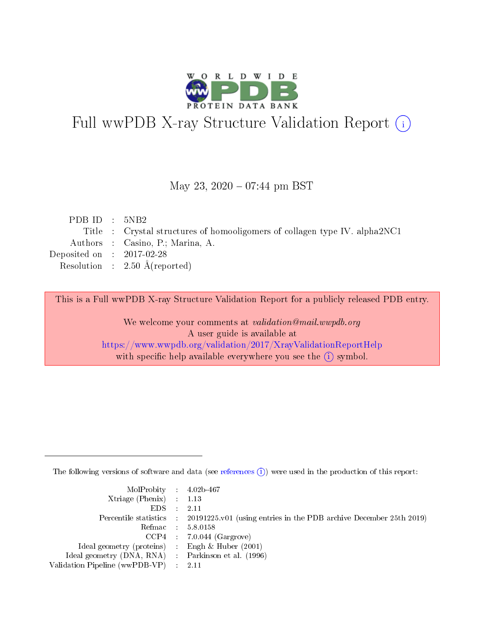

# Full wwPDB X-ray Structure Validation Report (i)

### May 23,  $2020 - 07:44$  pm BST

| PDB ID : $5NB2$             |                                                                            |
|-----------------------------|----------------------------------------------------------------------------|
|                             | Title : Crystal structures of homooligomers of collagen type IV. alpha2NC1 |
|                             | Authors : Casino, P.; Marina, A.                                           |
| Deposited on : $2017-02-28$ |                                                                            |
|                             | Resolution : $2.50 \text{ Å}$ (reported)                                   |
|                             |                                                                            |

This is a Full wwPDB X-ray Structure Validation Report for a publicly released PDB entry.

We welcome your comments at validation@mail.wwpdb.org A user guide is available at <https://www.wwpdb.org/validation/2017/XrayValidationReportHelp> with specific help available everywhere you see the  $(i)$  symbol.

The following versions of software and data (see [references](https://www.wwpdb.org/validation/2017/XrayValidationReportHelp#references)  $(i)$ ) were used in the production of this report:

| MolProbity : $4.02b-467$                            |                                                                                            |
|-----------------------------------------------------|--------------------------------------------------------------------------------------------|
| Xtriage (Phenix) $: 1.13$                           |                                                                                            |
| EDS -                                               | 2.11                                                                                       |
|                                                     | Percentile statistics : 20191225.v01 (using entries in the PDB archive December 25th 2019) |
|                                                     | Refmac 58.0158                                                                             |
|                                                     | $CCP4$ 7.0.044 (Gargrove)                                                                  |
| Ideal geometry (proteins) : Engh $\&$ Huber (2001)  |                                                                                            |
| Ideal geometry (DNA, RNA) : Parkinson et al. (1996) |                                                                                            |
| Validation Pipeline (wwPDB-VP)                      | -2.11                                                                                      |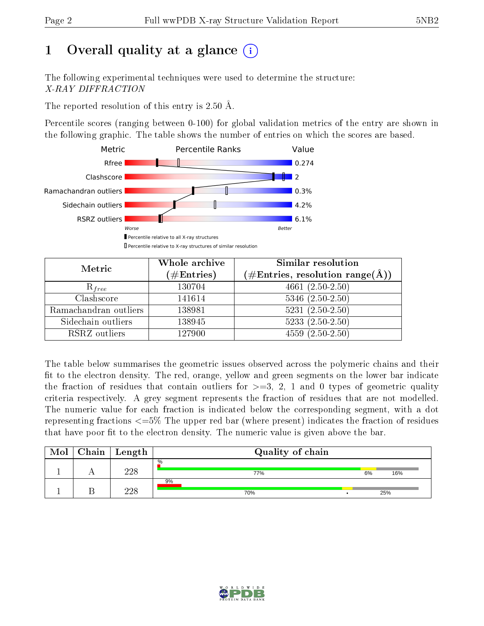# 1 [O](https://www.wwpdb.org/validation/2017/XrayValidationReportHelp#overall_quality)verall quality at a glance  $(i)$

The following experimental techniques were used to determine the structure: X-RAY DIFFRACTION

The reported resolution of this entry is 2.50 Å.

Percentile scores (ranging between 0-100) for global validation metrics of the entry are shown in the following graphic. The table shows the number of entries on which the scores are based.



| Metric                | Whole archive        | Similar resolution                                                     |
|-----------------------|----------------------|------------------------------------------------------------------------|
|                       | $(\#\text{Entries})$ | $(\#\text{Entries},\,\text{resolution}\,\,\text{range}(\textup{\AA}))$ |
| $R_{free}$            | 130704               | $4661 (2.50 - 2.50)$                                                   |
| Clashscore            | 141614               | $5346$ $(2.50-2.50)$                                                   |
| Ramachandran outliers | 138981               | $\overline{5231}$ $(2.50-2.50)$                                        |
| Sidechain outliers    | 138945               | $5233(2.50-2.50)$                                                      |
| RSRZ outliers         | 127900               | $4559(2.50-2.50)$                                                      |

The table below summarises the geometric issues observed across the polymeric chains and their fit to the electron density. The red, orange, yellow and green segments on the lower bar indicate the fraction of residues that contain outliers for  $>=3, 2, 1$  and 0 types of geometric quality criteria respectively. A grey segment represents the fraction of residues that are not modelled. The numeric value for each fraction is indicated below the corresponding segment, with a dot representing fractions <=5% The upper red bar (where present) indicates the fraction of residues that have poor fit to the electron density. The numeric value is given above the bar.

| Mol | ${\rm Chain \mid Length}$ | Quality of chain     |    |     |
|-----|---------------------------|----------------------|----|-----|
|     | 228                       | $\frac{0}{0}$<br>77% | 6% | 16% |
|     | າາ໑                       | 9%<br>70%            |    | 25% |

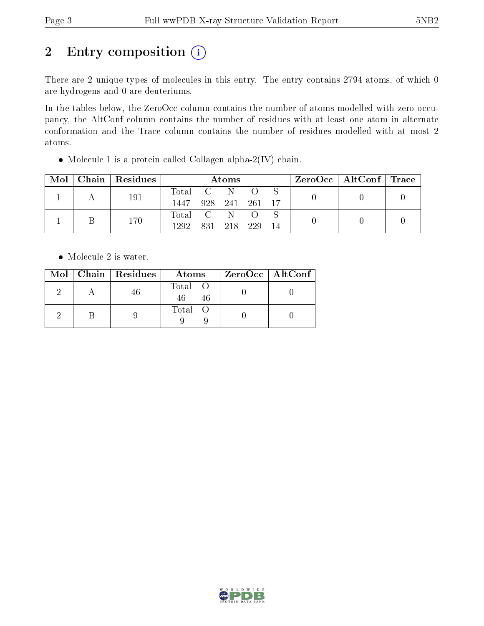# 2 Entry composition (i)

There are 2 unique types of molecules in this entry. The entry contains 2794 atoms, of which 0 are hydrogens and 0 are deuteriums.

In the tables below, the ZeroOcc column contains the number of atoms modelled with zero occupancy, the AltConf column contains the number of residues with at least one atom in alternate conformation and the Trace column contains the number of residues modelled with at most 2 atoms.

 $\bullet$  Molecule 1 is a protein called Collagen alpha-2(IV) chain.

| Mol |     | Chain Residues   |                     | <b>Atoms</b> |  |  | ZeroOcc   AltConf   Trace |  |
|-----|-----|------------------|---------------------|--------------|--|--|---------------------------|--|
|     | 191 |                  | Total C N O         |              |  |  |                           |  |
|     |     |                  | 1447 928 241 261 17 |              |  |  |                           |  |
|     |     | 170              | Total C N O         |              |  |  |                           |  |
|     |     | 1292 831 218 229 |                     |              |  |  |                           |  |

• Molecule 2 is water.

|  | $Mol$   Chain   Residues | Atoms         | ZeroOcc   AltConf |
|--|--------------------------|---------------|-------------------|
|  |                          | Total O<br>46 |                   |
|  |                          | Total O       |                   |

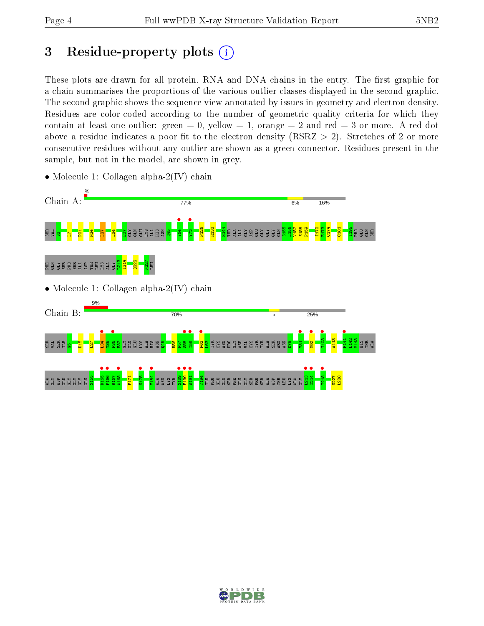# 3 Residue-property plots  $(i)$

These plots are drawn for all protein, RNA and DNA chains in the entry. The first graphic for a chain summarises the proportions of the various outlier classes displayed in the second graphic. The second graphic shows the sequence view annotated by issues in geometry and electron density. Residues are color-coded according to the number of geometric quality criteria for which they contain at least one outlier: green  $= 0$ , yellow  $= 1$ , orange  $= 2$  and red  $= 3$  or more. A red dot above a residue indicates a poor fit to the electron density (RSRZ  $> 2$ ). Stretches of 2 or more consecutive residues without any outlier are shown as a green connector. Residues present in the sample, but not in the model, are shown in grey.



• Molecule 1: Collagen alpha-2(IV) chain

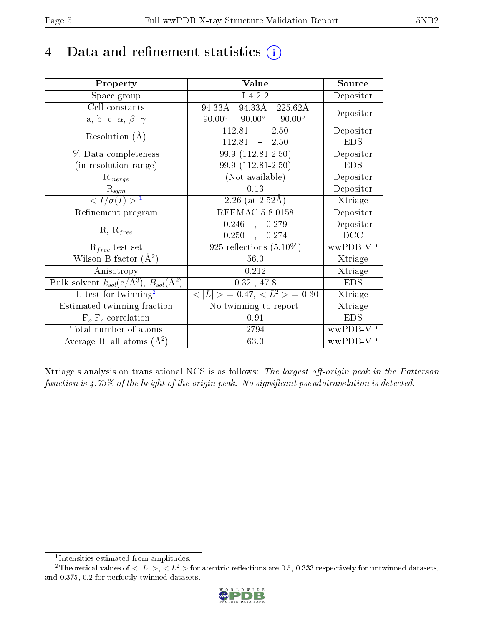# 4 Data and refinement statistics  $(i)$

| Property                                                                | Value                                            | Source     |
|-------------------------------------------------------------------------|--------------------------------------------------|------------|
| Space group                                                             | I 4 2 2                                          | Depositor  |
| Cell constants                                                          | 94.33Å 225.62Å<br>94.33Å                         | Depositor  |
| a, b, c, $\alpha$ , $\beta$ , $\gamma$                                  | $90.00^{\circ}$ $90.00^{\circ}$<br>$90.00^\circ$ |            |
| Resolution $(A)$                                                        | $112.81 - 2.50$                                  | Depositor  |
|                                                                         | $112.81 - 2.50$                                  | <b>EDS</b> |
| % Data completeness                                                     | $99.9(112.81-2.50)$                              | Depositor  |
| (in resolution range)                                                   | 99.9 (112.81-2.50)                               | <b>EDS</b> |
| $R_{merge}$                                                             | (Not available)                                  | Depositor  |
| $\mathrm{R}_{sym}$                                                      | 0.13                                             | Depositor  |
| $\langle I/\sigma(I) \rangle^{-1}$                                      | 2.26 (at $2.52\text{\AA}$ )                      | Xtriage    |
| Refinement program                                                      | REFMAC 5.8.0158                                  | Depositor  |
|                                                                         | $0.246$ ,<br>0.279                               | Depositor  |
| $R, R_{free}$                                                           | 0.250,<br>0.274                                  | DCC        |
| $\mathcal{R}_{free}$ test set                                           | $\overline{925}$ reflections $(5.10\%)$          | wwPDB-VP   |
| Wilson B-factor $(A^2)$                                                 | 56.0                                             | Xtriage    |
| Anisotropy                                                              | 0.212                                            | Xtriage    |
| Bulk solvent $k_{sol}(\mathrm{e}/\mathrm{A}^3),\,B_{sol}(\mathrm{A}^2)$ | $0.32$ , 47.8                                    | <b>EDS</b> |
| L-test for twinning <sup>2</sup>                                        | $< L >$ = 0.47, $< L2 >$ = 0.30                  | Xtriage    |
| Estimated twinning fraction                                             | No twinning to report.                           | Xtriage    |
| $F_o, F_c$ correlation                                                  | 0.91                                             | <b>EDS</b> |
| Total number of atoms                                                   | 2794                                             | wwPDB-VP   |
| Average B, all atoms $(A^2)$                                            | 63.0                                             | wwPDB-VP   |

Xtriage's analysis on translational NCS is as follows: The largest off-origin peak in the Patterson function is  $4.73\%$  of the height of the origin peak. No significant pseudotranslation is detected.

<sup>&</sup>lt;sup>2</sup>Theoretical values of  $\langle |L| \rangle$ ,  $\langle L^2 \rangle$  for acentric reflections are 0.5, 0.333 respectively for untwinned datasets, and 0.375, 0.2 for perfectly twinned datasets.



<span id="page-4-1"></span><span id="page-4-0"></span><sup>1</sup> Intensities estimated from amplitudes.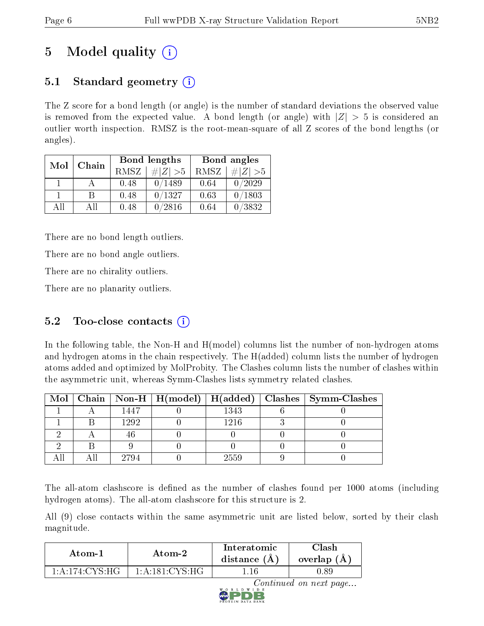# 5 Model quality  $(i)$

# 5.1 Standard geometry  $(i)$

The Z score for a bond length (or angle) is the number of standard deviations the observed value is removed from the expected value. A bond length (or angle) with  $|Z| > 5$  is considered an outlier worth inspection. RMSZ is the root-mean-square of all Z scores of the bond lengths (or angles).

| Mol | Chain |      | Bond lengths | Bond angles |             |  |
|-----|-------|------|--------------|-------------|-------------|--|
|     |       | RMSZ | $\# Z  > 5$  | RMSZ        | $\# Z  > 5$ |  |
|     |       | 0.48 | 0/1489       | 0.64        | 0/2029      |  |
|     | R     | 0.48 | 0/1327       | 0.63        | 0/1803      |  |
| AH  | All   | 0.48 | 0/2816       | 0.64        | 0/3832      |  |

There are no bond length outliers.

There are no bond angle outliers.

There are no chirality outliers.

There are no planarity outliers.

## 5.2 Too-close contacts  $(i)$

In the following table, the Non-H and H(model) columns list the number of non-hydrogen atoms and hydrogen atoms in the chain respectively. The H(added) column lists the number of hydrogen atoms added and optimized by MolProbity. The Clashes column lists the number of clashes within the asymmetric unit, whereas Symm-Clashes lists symmetry related clashes.

|  |      |      | Mol   Chain   Non-H   H(model)   H(added)   Clashes   Symm-Clashes |
|--|------|------|--------------------------------------------------------------------|
|  | 1447 | 1343 |                                                                    |
|  | 1292 | 1216 |                                                                    |
|  |      |      |                                                                    |
|  |      |      |                                                                    |
|  | 2794 | 2559 |                                                                    |

The all-atom clashscore is defined as the number of clashes found per 1000 atoms (including hydrogen atoms). The all-atom clashscore for this structure is 2.

All (9) close contacts within the same asymmetric unit are listed below, sorted by their clash magnitude.

| Atom-1           | Atom-2           | Interatomic<br>distance $(A)$ | Clash<br>overlap<br>(A) |
|------------------|------------------|-------------------------------|-------------------------|
| 1: A:174: CYS:HG | 1: A:181: CYS:HG | -16                           | 1.89                    |

Continued on next page...

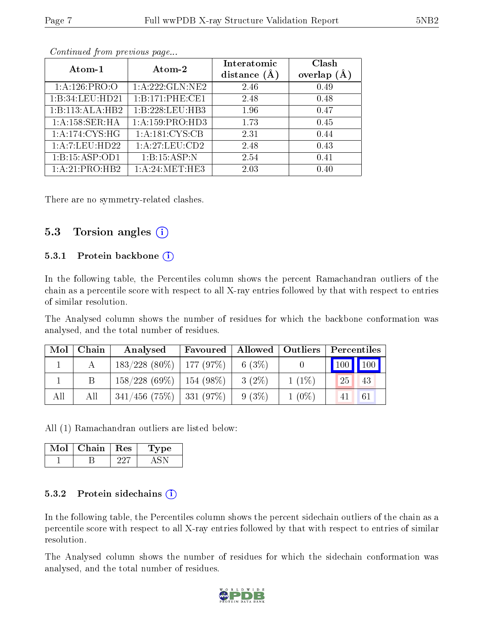| Atom-1           | Atom-2             | Interatomic<br>distance $(A)$ | Clash<br>overlap |
|------------------|--------------------|-------------------------------|------------------|
| 1:A:126:PRO:O    | 1:A:222:GLN:NE2    | 2.46                          | 0.49             |
| 1:B:34:LEU:HD21  | 1:B:171:PHE:CE1    | 2.48                          | 0.48             |
| 1:B:113:ALA:HB2  | 1:B:228:LEU:HB3    | 1.96                          | 0.47             |
| 1:A:158:SER:HA   | $1:$ A:159:PRO:HD3 | 1.73                          | 0.45             |
| 1: A:174: CYS:HG | 1:A:181:CYS:CB     | 2.31                          | 0.44             |
| 1:A:7:LEU:HD22   | 1: A:27: LEU:CD2   | 2.48                          | 0.43             |
| 1:B:15:ABP:OD1   | 1:B:15:ASP:N       | 2.54                          | 0.41             |
| 1:A:21:PRO:HB2   | 1: A:24: MET:HE3   | 2.03                          | 0.40             |

Continued from previous page...

There are no symmetry-related clashes.

### 5.3 Torsion angles  $(i)$

#### 5.3.1 Protein backbone (i)

In the following table, the Percentiles column shows the percent Ramachandran outliers of the chain as a percentile score with respect to all X-ray entries followed by that with respect to entries of similar resolution.

The Analysed column shows the number of residues for which the backbone conformation was analysed, and the total number of residues.

| Mol | Chain | Analysed                          | Favoured |          | Allowed   Outliers   Percentiles |         |    |
|-----|-------|-----------------------------------|----------|----------|----------------------------------|---------|----|
|     |       | $183/228$ $(80\%)$   177 $(97\%)$ |          | 6 (3%)   |                                  | 100 100 |    |
|     |       | $158/228$ (69\%)   154 (98\%)     |          | $3(2\%)$ | $1(1\%)$                         | 25      | 43 |
| All | All   | $341/456$ (75\%)   331 (97\%)     |          | 9(3%)    | $1(0\%)$                         |         | 61 |

All (1) Ramachandran outliers are listed below:

| Chain | ∣ Res | vpe |
|-------|-------|-----|
|       |       |     |

#### 5.3.2 Protein sidechains  $(i)$

In the following table, the Percentiles column shows the percent sidechain outliers of the chain as a percentile score with respect to all X-ray entries followed by that with respect to entries of similar resolution.

The Analysed column shows the number of residues for which the sidechain conformation was analysed, and the total number of residues.

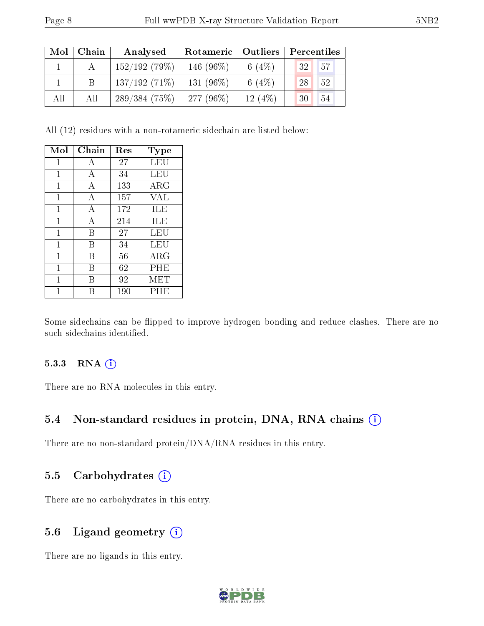| Mol | Chain | Analysed     | Rotameric   Outliers |          | Percentiles           |
|-----|-------|--------------|----------------------|----------|-----------------------|
|     |       | 152/192(79%) | 146 $(96\%)$         | 6 $(4%)$ | 57<br>32 <sub>1</sub> |
|     |       | 137/192(71%) | 131 $(96\%)$         | 6 $(4%)$ | 28<br>52              |
| All | All   | 289/384(75%) | 277 $(96\%)$         | 12(4%)   | 54<br>30              |

All (12) residues with a non-rotameric sidechain are listed below:

| Mol          | Chain | Res | Type |
|--------------|-------|-----|------|
| 1            | А     | 27  | LEU  |
| $\mathbf 1$  | А     | 34  | LEU  |
| 1            | А     | 133 | ARG  |
| 1            | А     | 157 | VAL  |
| 1            | A     | 172 | ILE  |
| $\mathbf{1}$ | А     | 214 | ILE  |
| 1            | В     | 27  | LEU  |
| 1            | В     | 34  | LEU  |
| $\mathbf{1}$ | В     | 56  | ARG  |
| 1            | В     | 62  | PHE  |
| 1            | R     | 92  | MET  |
| 1            |       | 190 | PHE  |

Some sidechains can be flipped to improve hydrogen bonding and reduce clashes. There are no such sidechains identified.

#### 5.3.3 RNA (i)

There are no RNA molecules in this entry.

### 5.4 Non-standard residues in protein, DNA, RNA chains (i)

There are no non-standard protein/DNA/RNA residues in this entry.

### 5.5 Carbohydrates  $(i)$

There are no carbohydrates in this entry.

## 5.6 Ligand geometry  $(i)$

There are no ligands in this entry.

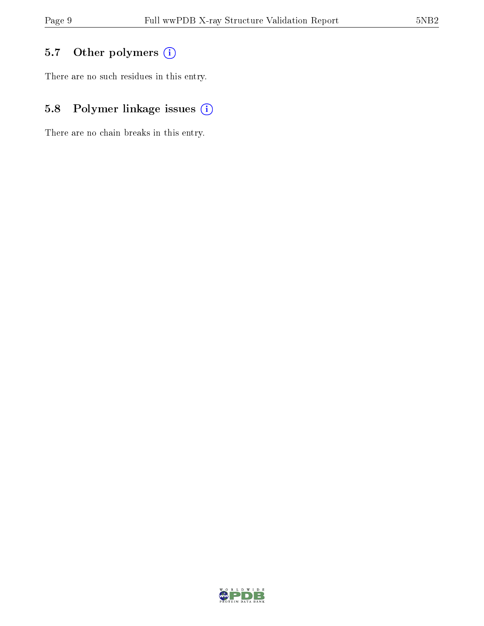# 5.7 [O](https://www.wwpdb.org/validation/2017/XrayValidationReportHelp#nonstandard_residues_and_ligands)ther polymers (i)

There are no such residues in this entry.

# 5.8 Polymer linkage issues (i)

There are no chain breaks in this entry.

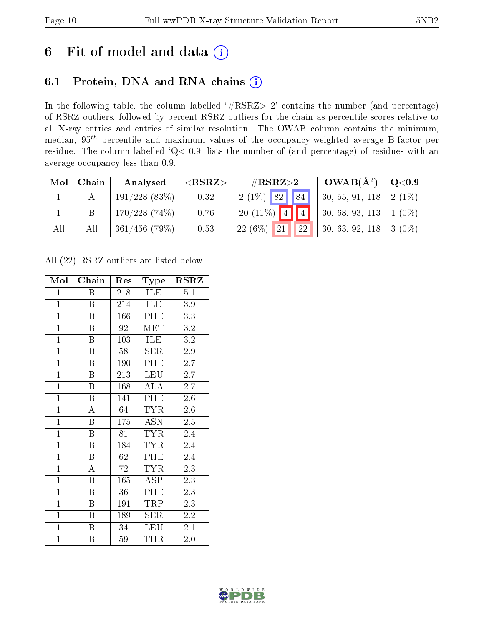# 6 Fit of model and data  $(i)$

## 6.1 Protein, DNA and RNA chains  $(i)$

In the following table, the column labelled  $#RSRZ> 2'$  contains the number (and percentage) of RSRZ outliers, followed by percent RSRZ outliers for the chain as percentile scores relative to all X-ray entries and entries of similar resolution. The OWAB column contains the minimum, median,  $95<sup>th</sup>$  percentile and maximum values of the occupancy-weighted average B-factor per residue. The column labelled ' $Q< 0.9$ ' lists the number of (and percentage) of residues with an average occupancy less than 0.9.

| Mol | Chain | Analysed         | ${ <\hspace{-1.5pt}{\mathrm{RSRZ}} \hspace{-1.5pt}>}$ | $\#\text{RSRZ}\text{>2}$     | $OWAB(A^2)$        | $\mathrm{Q}{<}0.9$ |
|-----|-------|------------------|-------------------------------------------------------|------------------------------|--------------------|--------------------|
|     |       | $191/228$ (83\%) | 0.32                                                  | $2(1\%)$ 82 84               | $+30, 55, 91, 118$ | $2(1\%)$           |
|     |       | 170/228(74%)     | 0.76                                                  | $20(11\%)$ 4 4               | $+30, 68, 93, 113$ | $1(0\%)$           |
| All | All   | $361/456$ (79\%) | 0.53                                                  | $22(6\%)$<br><b>22</b><br>21 | 30, 63, 92, 118    | $3(0\%)$           |

All (22) RSRZ outliers are listed below:

| Mol            | Chain                   | Res              | Type                 | <b>RSRZ</b>      |
|----------------|-------------------------|------------------|----------------------|------------------|
| $\mathbf{1}$   | B                       | 218              | <b>ILE</b>           | $5.\overline{1}$ |
| $\overline{1}$ | $\overline{B}$          | 214              | ILE                  | 3.9              |
| $\overline{1}$ | $\overline{\mathrm{B}}$ | 166              | PHE                  | 3.3              |
| $\overline{1}$ | $\boldsymbol{B}$        | 92               | MET                  | $\rm 3.2$        |
| $\overline{1}$ | $\overline{\mathrm{B}}$ | $\overline{103}$ | ILE                  | $\overline{3.2}$ |
| $\overline{1}$ | $\boldsymbol{B}$        | 58               | SER                  | 2.9              |
| $\overline{1}$ | $\overline{B}$          | 190              | PHE                  | $2.\overline{7}$ |
| $\overline{1}$ | $\boldsymbol{B}$        | 213              | <b>LEU</b>           | 2.7              |
| $\mathbf{1}$   | B                       | 168              | ALA                  | 2.7              |
| $\overline{1}$ | $\boldsymbol{B}$        | 141              | PHE                  | 2.6              |
| $\mathbf{1}$   | $\mathbf{A}$            | 64               | <b>TYR</b>           | $2.6\,$          |
| $\overline{1}$ | $\overline{\mathrm{B}}$ | $\overline{175}$ | $\overline{ASN}$     | 2.5              |
| $\overline{1}$ | $\boldsymbol{B}$        | 81               | <b>TYR</b>           | 2.4              |
| $\mathbf{1}$   | B                       | 184              | <b>TYR</b>           | 2.4              |
| $\overline{1}$ | $\boldsymbol{B}$        | 62               | PHE                  | 2.4              |
| $\mathbf{1}$   | $\boldsymbol{A}$        | $72\,$           | <b>TYR</b>           | 2.3              |
| $\overline{1}$ | $\overline{\mathrm{B}}$ | 165              | $\operatorname{ASP}$ | 2.3              |
| $\mathbf{1}$   | $\boldsymbol{B}$        | 36               | PHE                  | 2.3              |
| $\mathbf{1}$   | B                       | 191              | TRP                  | 2.3              |
| $\mathbf{1}$   | $\boldsymbol{B}$        | 189              | <b>SER</b>           | 2.2              |
| $\mathbf{1}$   | $\boldsymbol{B}$        | 34               | <b>LEU</b>           | 2.1              |
| $\mathbf{1}$   | Β                       | 59               | THR                  | 2.0              |